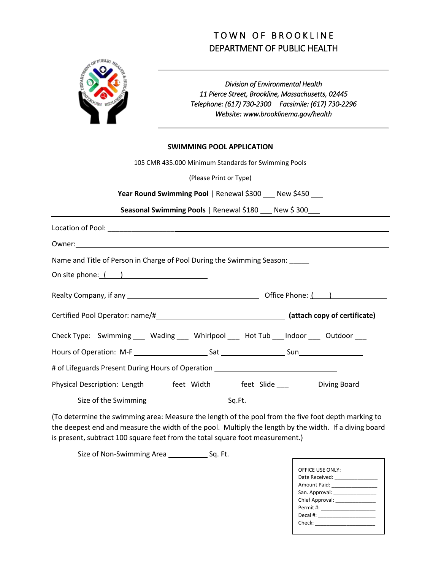## TOWN OF BROOKLINE DEPARTMENT OF PUBLIC HEALTH



*Division of Environmental Health 11 Pierce Street, Brookline, Massachusetts, 02445 Telephone: (617) 730-2300 Facsimile: (617) 730-2296 Website: www.brooklinema.gov/health*

## **SWIMMING POOL APPLICATION**

| 105 CMR 435.000 Minimum Standards for Swimming Pools                                                 |
|------------------------------------------------------------------------------------------------------|
| (Please Print or Type)                                                                               |
| Year Round Swimming Pool   Renewal \$300 __ New \$450 __                                             |
| Seasonal Swimming Pools   Renewal \$180 __ New \$300__                                               |
|                                                                                                      |
|                                                                                                      |
| Name and Title of Person in Charge of Pool During the Swimming Season: ____________________________  |
| On site phone: $($ $)$                                                                               |
|                                                                                                      |
|                                                                                                      |
| Check Type: Swimming ____ Wading ____ Whirlpool ____ Hot Tub ____Indoor ____ Outdoor ___             |
|                                                                                                      |
| # of Lifeguards Present During Hours of Operation ______________________________                     |
| Physical Description: Length ________feet Width ________feet Slide ____________ Diving Board _______ |
|                                                                                                      |

(To determine the swimming area: Measure the length of the pool from the five foot depth marking to the deepest end and measure the width of the pool. Multiply the length by the width. If a diving board is present, subtract 100 square feet from the total square foot measurement.)

Size of Non-Swimming Area \_\_\_\_\_\_\_\_\_\_\_\_\_\_ Sq. Ft.

| OFFICE USE ONLY:                                     |
|------------------------------------------------------|
| Date Received: <u>__________</u>                     |
| Amount Paid: <u>New York Banders and Amount Paid</u> |
| San. Approval: _________________                     |
| Chief Approval: <u>Chief Approval:</u>               |
|                                                      |
|                                                      |
| Check: ___________                                   |
|                                                      |